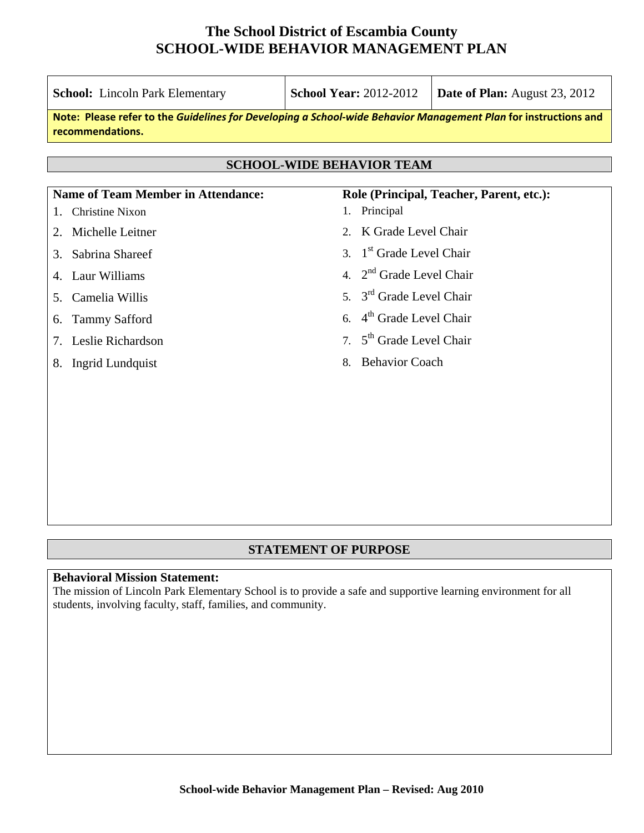| <b>School:</b> Lincoln Park Elementary                                                                                              | <b>School Year: 2012-2012</b>                       | <b>Date of Plan:</b> August 23, 2012 |  |  |  |  |  |
|-------------------------------------------------------------------------------------------------------------------------------------|-----------------------------------------------------|--------------------------------------|--|--|--|--|--|
| Note: Please refer to the Guidelines for Developing a School-wide Behavior Management Plan for instructions and<br>recommendations. |                                                     |                                      |  |  |  |  |  |
|                                                                                                                                     |                                                     |                                      |  |  |  |  |  |
| <b>SCHOOL-WIDE BEHAVIOR TEAM</b>                                                                                                    |                                                     |                                      |  |  |  |  |  |
| <b>Name of Team Member in Attendance:</b>                                                                                           | Role (Principal, Teacher, Parent, etc.):            |                                      |  |  |  |  |  |
| <b>Christine Nixon</b>                                                                                                              | Principal<br>1.                                     |                                      |  |  |  |  |  |
| Michelle Leitner<br>2.                                                                                                              | K Grade Level Chair<br>$2_{1}$                      |                                      |  |  |  |  |  |
| Sabrina Shareef<br>3.                                                                                                               | 1 <sup>st</sup> Grade Level Chair<br>$\mathcal{R}$  |                                      |  |  |  |  |  |
| Laur Williams<br>4.                                                                                                                 | 2 <sup>nd</sup> Grade Level Chair<br>$\overline{4}$ |                                      |  |  |  |  |  |
| Camelia Willis<br>5.                                                                                                                | 5. 3 <sup>rd</sup> Grade Level Chair                |                                      |  |  |  |  |  |
| <b>Tammy Safford</b><br>6.                                                                                                          | 6. 4 <sup>th</sup> Grade Level Chair                |                                      |  |  |  |  |  |
| Leslie Richardson<br>7.                                                                                                             | 5 <sup>th</sup> Grade Level Chair<br>$7^{\circ}$    |                                      |  |  |  |  |  |
| <b>Ingrid Lundquist</b><br>8.                                                                                                       | <b>Behavior Coach</b><br>8.                         |                                      |  |  |  |  |  |
|                                                                                                                                     |                                                     |                                      |  |  |  |  |  |
|                                                                                                                                     |                                                     |                                      |  |  |  |  |  |
|                                                                                                                                     |                                                     |                                      |  |  |  |  |  |
|                                                                                                                                     |                                                     |                                      |  |  |  |  |  |

### **STATEMENT OF PURPOSE**

#### **Behavioral Mission Statement:**

The mission of Lincoln Park Elementary School is to provide a safe and supportive learning environment for all students, involving faculty, staff, families, and community.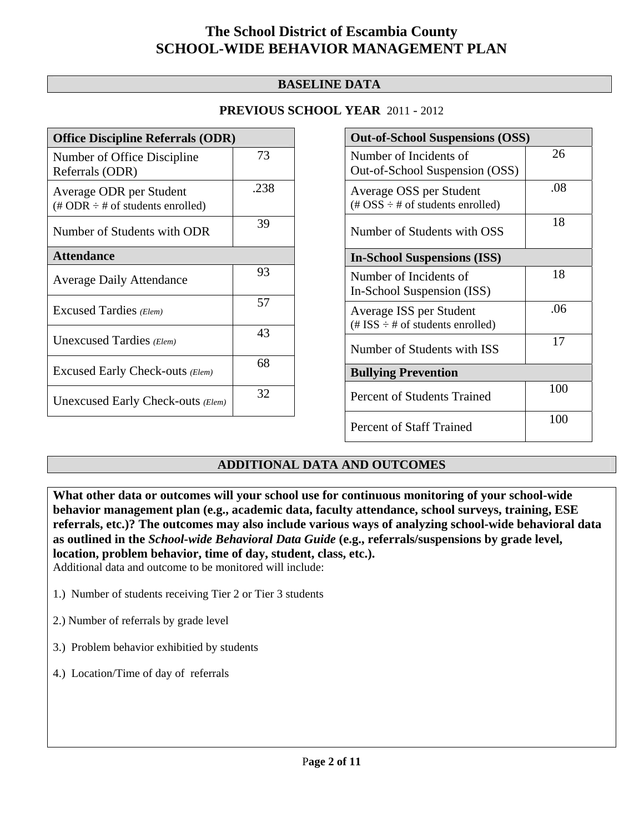### **BASELINE DATA**

#### **PREVIOUS SCHOOL YEAR** 2011 - 2012

| <b>Office Discipline Referrals (ODR)</b>                                         |      |  |  |
|----------------------------------------------------------------------------------|------|--|--|
| Number of Office Discipline<br>Referrals (ODR)                                   | 73   |  |  |
| Average ODR per Student<br>$(\text{\# ODR} \div \text{\# of students enrolled})$ | .238 |  |  |
| Number of Students with ODR                                                      | 39   |  |  |
| <b>Attendance</b>                                                                |      |  |  |
| <b>Average Daily Attendance</b>                                                  | 93   |  |  |
| Excused Tardies (Elem)                                                           | 57   |  |  |
| Unexcused Tardies (Elem)                                                         | 43   |  |  |
| Excused Early Check-outs (Elem)                                                  | 68   |  |  |
| Unexcused Early Check-outs (Elem)                                                | 32   |  |  |

| <b>Out-of-School Suspensions (OSS)</b>                                                          |     |  |  |
|-------------------------------------------------------------------------------------------------|-----|--|--|
| Number of Incidents of                                                                          | 26  |  |  |
| Out-of-School Suspension (OSS)                                                                  |     |  |  |
| Average OSS per Student<br>$(\text{\#} \text{OSS} \div \text{\#} \text{ of students enrolled})$ | .08 |  |  |
| Number of Students with OSS                                                                     | 18  |  |  |
| <b>In-School Suspensions (ISS)</b>                                                              |     |  |  |
| Number of Incidents of                                                                          | 18  |  |  |
| In-School Suspension (ISS)                                                                      |     |  |  |
| Average ISS per Student<br>$(\text{\# ISS} \div \text{\# of students enrolled})$                | .06 |  |  |
| Number of Students with ISS                                                                     | 17  |  |  |
| <b>Bullying Prevention</b>                                                                      |     |  |  |
| Percent of Students Trained                                                                     | 100 |  |  |
| <b>Percent of Staff Trained</b>                                                                 | 100 |  |  |

### **ADDITIONAL DATA AND OUTCOMES**

**What other data or outcomes will your school use for continuous monitoring of your school-wide behavior management plan (e.g., academic data, faculty attendance, school surveys, training, ESE referrals, etc.)? The outcomes may also include various ways of analyzing school-wide behavioral data as outlined in the** *School-wide Behavioral Data Guide* **(e.g., referrals/suspensions by grade level, location, problem behavior, time of day, student, class, etc.).** Additional data and outcome to be monitored will include:

- 1.) Number of students receiving Tier 2 or Tier 3 students
- 2.) Number of referrals by grade level
- 3.) Problem behavior exhibitied by students
- 4.) Location/Time of day of referrals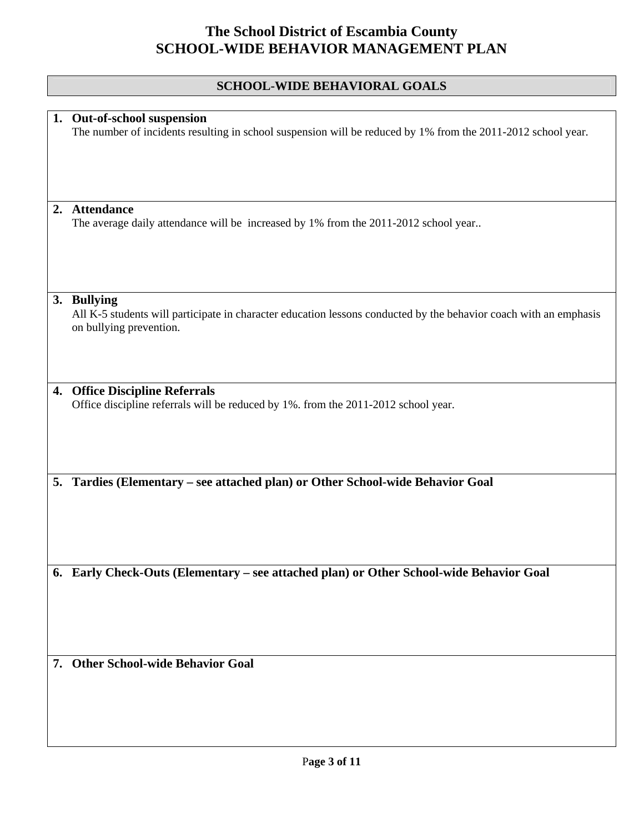### **SCHOOL-WIDE BEHAVIORAL GOALS**

|    | 1. Out-of-school suspension<br>The number of incidents resulting in school suspension will be reduced by 1% from the 2011-2012 school year.                 |
|----|-------------------------------------------------------------------------------------------------------------------------------------------------------------|
|    |                                                                                                                                                             |
| 2. | <b>Attendance</b><br>The average daily attendance will be increased by 1% from the 2011-2012 school year                                                    |
|    | 3. Bullying<br>All K-5 students will participate in character education lessons conducted by the behavior coach with an emphasis<br>on bullying prevention. |
|    | 4. Office Discipline Referrals<br>Office discipline referrals will be reduced by 1%. from the 2011-2012 school year.                                        |
|    | 5. Tardies (Elementary - see attached plan) or Other School-wide Behavior Goal                                                                              |
|    | 6. Early Check-Outs (Elementary - see attached plan) or Other School-wide Behavior Goal                                                                     |
|    | 7. Other School-wide Behavior Goal                                                                                                                          |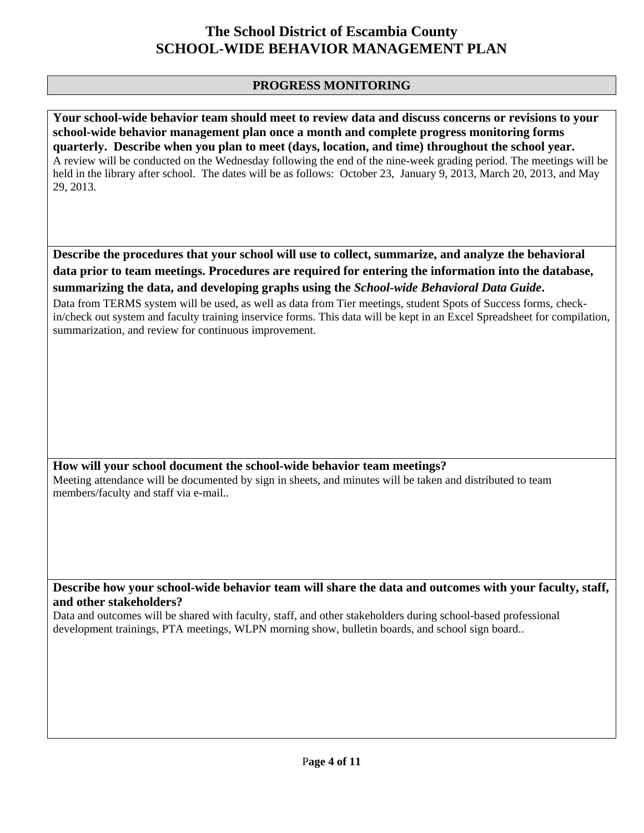### **PROGRESS MONITORING**

**Your school-wide behavior team should meet to review data and discuss concerns or revisions to your school-wide behavior management plan once a month and complete progress monitoring forms quarterly. Describe when you plan to meet (days, location, and time) throughout the school year.**  A review will be conducted on the Wednesday following the end of the nine-week grading period. The meetings will be held in the library after school. The dates will be as follows: October 23, January 9, 2013, March 20, 2013, and May 29, 2013.

**Describe the procedures that your school will use to collect, summarize, and analyze the behavioral data prior to team meetings. Procedures are required for entering the information into the database, summarizing the data, and developing graphs using the** *School-wide Behavioral Data Guide***.** 

Data from TERMS system will be used, as well as data from Tier meetings, student Spots of Success forms, checkin/check out system and faculty training inservice forms. This data will be kept in an Excel Spreadsheet for compilation, summarization, and review for continuous improvement.

**How will your school document the school-wide behavior team meetings?** Meeting attendance will be documented by sign in sheets, and minutes will be taken and distributed to team members/faculty and staff via e-mail..

**Describe how your school-wide behavior team will share the data and outcomes with your faculty, staff, and other stakeholders?** 

Data and outcomes will be shared with faculty, staff, and other stakeholders during school-based professional development trainings, PTA meetings, WLPN morning show, bulletin boards, and school sign board..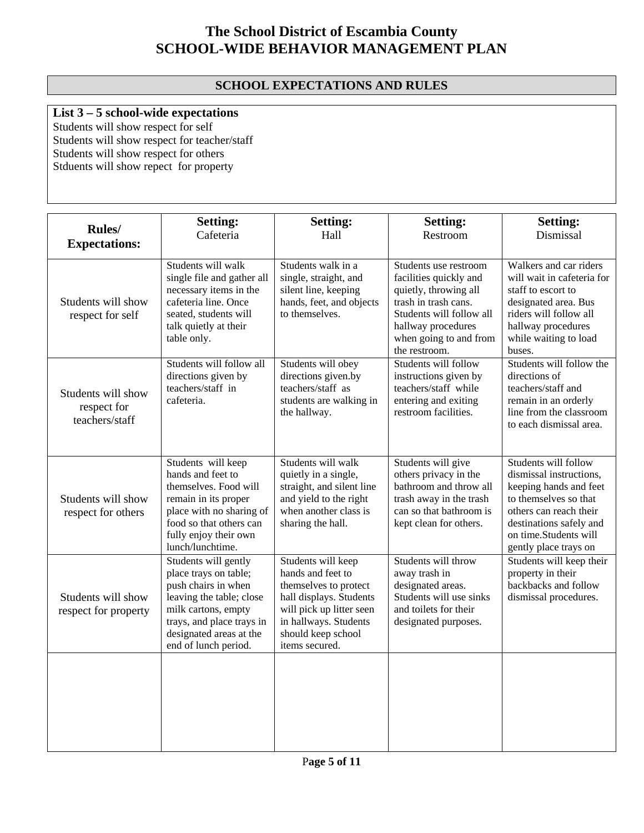### **SCHOOL EXPECTATIONS AND RULES**

### **List 3 – 5 school-wide expectations**

Students will show respect for self Students will show respect for teacher/staff Students will show respect for others Stduents will show repect for property

|                                                     | <b>Setting:</b>                                                                                                                                                                                         | <b>Setting:</b>                                                                                                                                                                          | <b>Setting:</b>                                                                                                                                                                               | <b>Setting:</b>                                                                                                                                                                                           |
|-----------------------------------------------------|---------------------------------------------------------------------------------------------------------------------------------------------------------------------------------------------------------|------------------------------------------------------------------------------------------------------------------------------------------------------------------------------------------|-----------------------------------------------------------------------------------------------------------------------------------------------------------------------------------------------|-----------------------------------------------------------------------------------------------------------------------------------------------------------------------------------------------------------|
| Rules/<br><b>Expectations:</b>                      | Cafeteria                                                                                                                                                                                               | Hall                                                                                                                                                                                     | Restroom                                                                                                                                                                                      | Dismissal                                                                                                                                                                                                 |
| Students will show<br>respect for self              | Students will walk<br>single file and gather all<br>necessary items in the<br>cafeteria line. Once<br>seated, students will<br>talk quietly at their<br>table only.                                     | Students walk in a<br>single, straight, and<br>silent line, keeping<br>hands, feet, and objects<br>to themselves.                                                                        | Students use restroom<br>facilities quickly and<br>quietly, throwing all<br>trash in trash cans.<br>Students will follow all<br>hallway procedures<br>when going to and from<br>the restroom. | Walkers and car riders<br>will wait in cafeteria for<br>staff to escort to<br>designated area. Bus<br>riders will follow all<br>hallway procedures<br>while waiting to load<br>buses.                     |
| Students will show<br>respect for<br>teachers/staff | Students will follow all<br>directions given by<br>teachers/staff in<br>cafeteria.                                                                                                                      | Students will obey<br>directions given.by<br>teachers/staff as<br>students are walking in<br>the hallway.                                                                                | Students will follow<br>instructions given by<br>teachers/staff while<br>entering and exiting<br>restroom facilities.                                                                         | Students will follow the<br>directions of<br>teachers/staff and<br>remain in an orderly<br>line from the classroom<br>to each dismissal area.                                                             |
| Students will show<br>respect for others            | Students will keep<br>hands and feet to<br>themselves. Food will<br>remain in its proper<br>place with no sharing of<br>food so that others can<br>fully enjoy their own<br>lunch/lunchtime.            | Students will walk<br>quietly in a single,<br>straight, and silent line<br>and yield to the right<br>when another class is<br>sharing the hall.                                          | Students will give<br>others privacy in the<br>bathroom and throw all<br>trash away in the trash<br>can so that bathroom is<br>kept clean for others.                                         | Students will follow<br>dismissal instructions,<br>keeping hands and feet<br>to themselves so that<br>others can reach their<br>destinations safely and<br>on time.Students will<br>gently place trays on |
| Students will show<br>respect for property          | Students will gently<br>place trays on table;<br>push chairs in when<br>leaving the table; close<br>milk cartons, empty<br>trays, and place trays in<br>designated areas at the<br>end of lunch period. | Students will keep<br>hands and feet to<br>themselves to protect<br>hall displays. Students<br>will pick up litter seen<br>in hallways. Students<br>should keep school<br>items secured. | Students will throw<br>away trash in<br>designated areas.<br>Students will use sinks<br>and toilets for their<br>designated purposes.                                                         | Students will keep their<br>property in their<br>backbacks and follow<br>dismissal procedures.                                                                                                            |
|                                                     |                                                                                                                                                                                                         |                                                                                                                                                                                          |                                                                                                                                                                                               |                                                                                                                                                                                                           |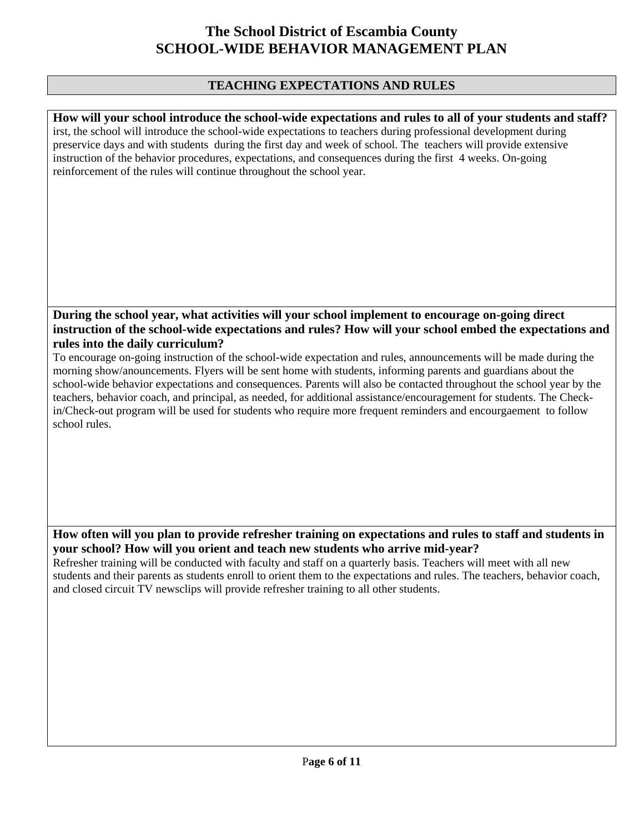#### **TEACHING EXPECTATIONS AND RULES**

**How will your school introduce the school-wide expectations and rules to all of your students and staff?**  irst, the school will introduce the school-wide expectations to teachers during professional development during preservice days and with students during the first day and week of school. The teachers will provide extensive instruction of the behavior procedures, expectations, and consequences during the first 4 weeks. On-going reinforcement of the rules will continue throughout the school year.

### **During the school year, what activities will your school implement to encourage on-going direct instruction of the school-wide expectations and rules? How will your school embed the expectations and rules into the daily curriculum?**

To encourage on-going instruction of the school-wide expectation and rules, announcements will be made during the morning show/anouncements. Flyers will be sent home with students, informing parents and guardians about the school-wide behavior expectations and consequences. Parents will also be contacted throughout the school year by the teachers, behavior coach, and principal, as needed, for additional assistance/encouragement for students. The Checkin/Check-out program will be used for students who require more frequent reminders and encourgaement to follow school rules.

#### **How often will you plan to provide refresher training on expectations and rules to staff and students in your school? How will you orient and teach new students who arrive mid-year?**

Refresher training will be conducted with faculty and staff on a quarterly basis. Teachers will meet with all new students and their parents as students enroll to orient them to the expectations and rules. The teachers, behavior coach, and closed circuit TV newsclips will provide refresher training to all other students.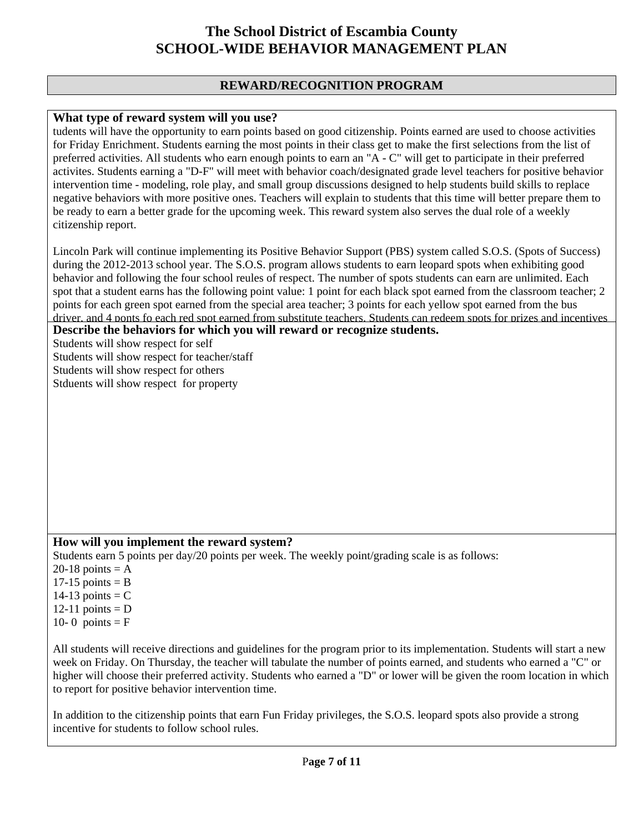#### **REWARD/RECOGNITION PROGRAM**

#### **What type of reward system will you use?**

tudents will have the opportunity to earn points based on good citizenship. Points earned are used to choose activities for Friday Enrichment. Students earning the most points in their class get to make the first selections from the list of preferred activities. All students who earn enough points to earn an "A - C" will get to participate in their preferred activites. Students earning a "D-F" will meet with behavior coach/designated grade level teachers for positive behavior intervention time - modeling, role play, and small group discussions designed to help students build skills to replace negative behaviors with more positive ones. Teachers will explain to students that this time will better prepare them to be ready to earn a better grade for the upcoming week. This reward system also serves the dual role of a weekly citizenship report.

Lincoln Park will continue implementing its Positive Behavior Support (PBS) system called S.O.S. (Spots of Success) during the 2012-2013 school year. The S.O.S. program allows students to earn leopard spots when exhibiting good behavior and following the four school reules of respect. The number of spots students can earn are unlimited. Each spot that a student earns has the following point value: 1 point for each black spot earned from the classroom teacher; 2 points for each green spot earned from the special area teacher; 3 points for each yellow spot earned from the bus driver, and 4 ponts fo each red spot earned from substitute teachers. Students can redeem spots for prizes and incentives

**Describe the behaviors for which you will reward or recognize students.** 

Students will show respect for self

Students will show respect for teacher/staff

Students will show respect for others

Stduents will show respect for property

### **How will you implement the reward system?**

Students earn 5 points per day/20 points per week. The weekly point/grading scale is as follows:

- 20-18 points  $= A$
- $17-15$  points = B
- 14-13 points  $=$  C
- $12-11$  points = D
- 10-0 points =  $F$

All students will receive directions and guidelines for the program prior to its implementation. Students will start a new week on Friday. On Thursday, the teacher will tabulate the number of points earned, and students who earned a "C" or higher will choose their preferred activity. Students who earned a "D" or lower will be given the room location in which to report for positive behavior intervention time.

In addition to the citizenship points that earn Fun Friday privileges, the S.O.S. leopard spots also provide a strong incentive for students to follow school rules.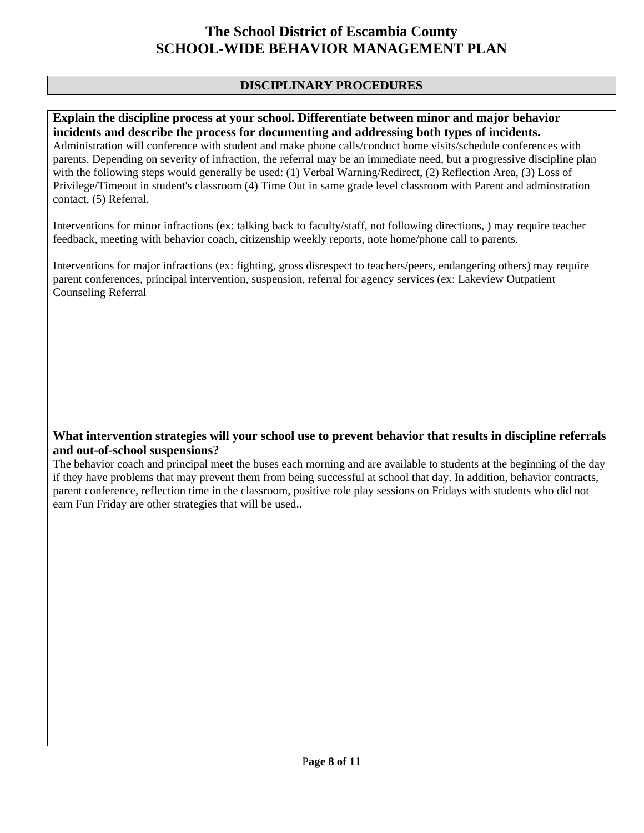### **DISCIPLINARY PROCEDURES**

#### **Explain the discipline process at your school. Differentiate between minor and major behavior incidents and describe the process for documenting and addressing both types of incidents.**

Administration will conference with student and make phone calls/conduct home visits/schedule conferences with parents. Depending on severity of infraction, the referral may be an immediate need, but a progressive discipline plan with the following steps would generally be used: (1) Verbal Warning/Redirect, (2) Reflection Area, (3) Loss of Privilege/Timeout in student's classroom (4) Time Out in same grade level classroom with Parent and adminstration contact, (5) Referral.

Interventions for minor infractions (ex: talking back to faculty/staff, not following directions, ) may require teacher feedback, meeting with behavior coach, citizenship weekly reports, note home/phone call to parents.

Interventions for major infractions (ex: fighting, gross disrespect to teachers/peers, endangering others) may require parent conferences, principal intervention, suspension, referral for agency services (ex: Lakeview Outpatient Counseling Referral

### **What intervention strategies will your school use to prevent behavior that results in discipline referrals and out-of-school suspensions?**

The behavior coach and principal meet the buses each morning and are available to students at the beginning of the day if they have problems that may prevent them from being successful at school that day. In addition, behavior contracts, parent conference, reflection time in the classroom, positive role play sessions on Fridays with students who did not earn Fun Friday are other strategies that will be used..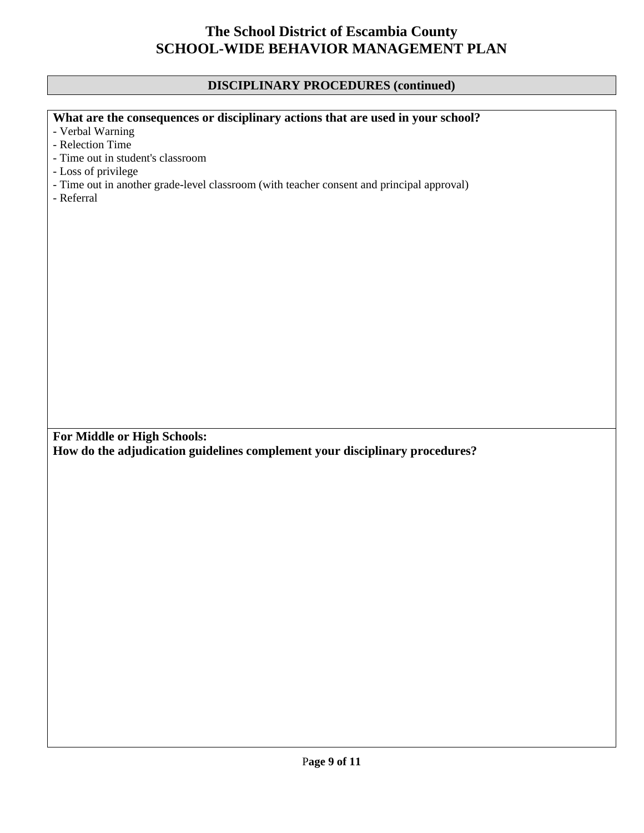### **DISCIPLINARY PROCEDURES (continued)**

### **What are the consequences or disciplinary actions that are used in your school?**

- Verbal Warning
- Relection Time
- Time out in student's classroom
- Loss of privilege
- Time out in another grade-level classroom (with teacher consent and principal approval)
- Referral

**For Middle or High Schools:** 

**How do the adjudication guidelines complement your disciplinary procedures?**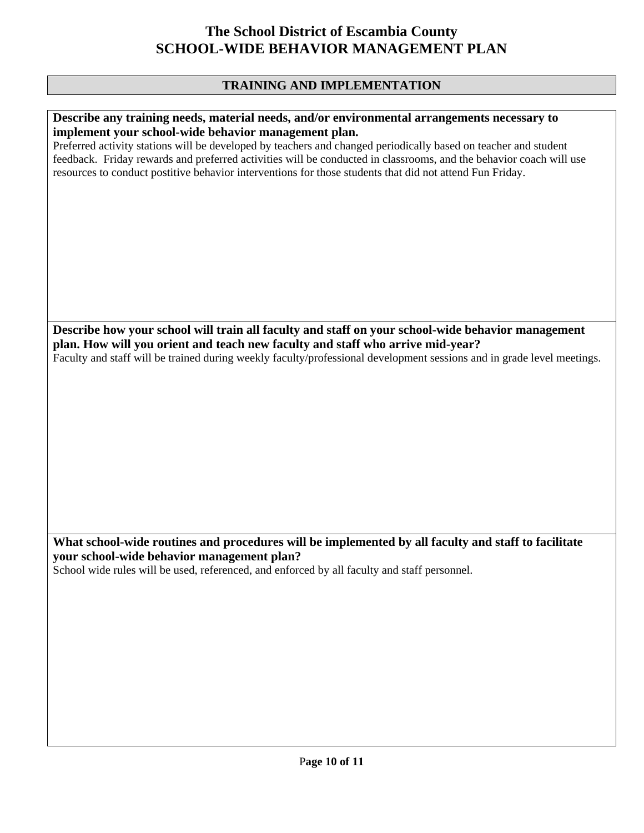### **TRAINING AND IMPLEMENTATION**

#### **Describe any training needs, material needs, and/or environmental arrangements necessary to implement your school-wide behavior management plan.**

Preferred activity stations will be developed by teachers and changed periodically based on teacher and student feedback. Friday rewards and preferred activities will be conducted in classrooms, and the behavior coach will use resources to conduct postitive behavior interventions for those students that did not attend Fun Friday.

**Describe how your school will train all faculty and staff on your school-wide behavior management plan. How will you orient and teach new faculty and staff who arrive mid-year?**  Faculty and staff will be trained during weekly faculty/professional development sessions and in grade level meetings.

### **What school-wide routines and procedures will be implemented by all faculty and staff to facilitate your school-wide behavior management plan?**

School wide rules will be used, referenced, and enforced by all faculty and staff personnel.